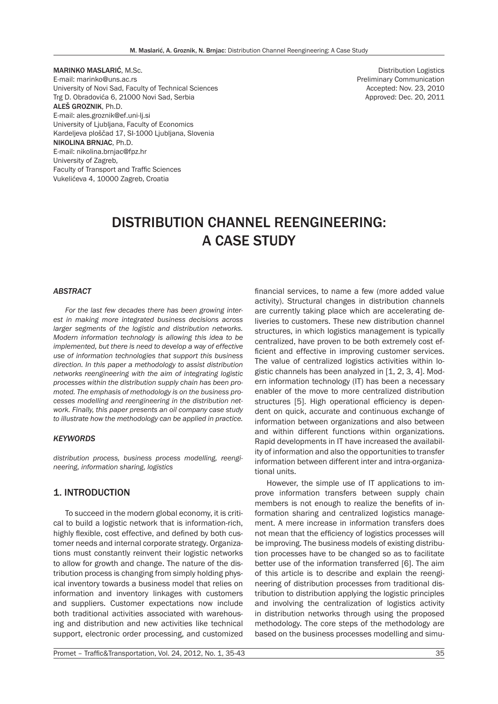MARINKO MASLARIĆ, M.Sc. E-mail: marinko@uns.ac.rs University of Novi Sad, Faculty of Technical Sciences Trg D. Obradovića 6, 21000 Novi Sad, Serbia ALEŠ GROZNIK, Ph.D. E-mail: ales.groznik@ef.uni-lj.si University of Ljubljana, Faculty of Economics Kardeljeva ploščad 17, SI-1000 Ljubljana, Slovenia NIKOLINA BRNJAC, Ph.D. E-mail: nikolina.brnjac@fpz.hr University of Zagreb, Faculty of Transport and Traffic Sciences Vukelićeva 4, 10000 Zagreb, Croatia

Distribution Logistics Preliminary Communication Accepted: Nov. 23, 2010 Approved: Dec. 20, 2011

# DISTRIBUTION CHANNEL REENGINEERING: A CASE STUDY

#### *ABSTRACT*

*For the last few decades there has been growing interest in making more integrated business decisions across larger segments of the logistic and distribution networks. Modern information technology is allowing this idea to be implemented, but there is need to develop a way of effective use of information technologies that support this business direction. In this paper a methodology to assist distribution networks reengineering with the aim of integrating logistic processes within the distribution supply chain has been promoted. The emphasis of methodology is on the business processes modelling and reengineering in the distribution network. Finally, this paper presents an oil company case study to illustrate how the methodology can be applied in practice.*

#### *KEYWORDS*

*distribution process, business process modelling, reengineering, information sharing, logistics*

## 1. INTRODUCTION

To succeed in the modern global economy, it is critical to build a logistic network that is information-rich, highly flexible, cost effective, and defined by both customer needs and internal corporate strategy. Organizations must constantly reinvent their logistic networks to allow for growth and change. The nature of the distribution process is changing from simply holding physical inventory towards a business model that relies on information and inventory linkages with customers and suppliers. Customer expectations now include both traditional activities associated with warehousing and distribution and new activities like technical support, electronic order processing, and customized financial services, to name a few (more added value activity). Structural changes in distribution channels are currently taking place which are accelerating deliveries to customers. These new distribution channel structures, in which logistics management is typically centralized, have proven to be both extremely cost efficient and effective in improving customer services. The value of centralized logistics activities within logistic channels has been analyzed in [1, 2, 3, 4]. Modern information technology (IT) has been a necessary enabler of the move to more centralized distribution structures [5]. High operational efficiency is dependent on quick, accurate and continuous exchange of information between organizations and also between and within different functions within organizations. Rapid developments in IT have increased the availability of information and also the opportunities to transfer information between different inter and intra-organizational units.

However, the simple use of IT applications to improve information transfers between supply chain members is not enough to realize the benefits of information sharing and centralized logistics management. A mere increase in information transfers does not mean that the efficiency of logistics processes will be improving. The business models of existing distribution processes have to be changed so as to facilitate better use of the information transferred [6]. The aim of this article is to describe and explain the reengineering of distribution processes from traditional distribution to distribution applying the logistic principles and involving the centralization of logistics activity in distribution networks through using the proposed methodology. The core steps of the methodology are based on the business processes modelling and simu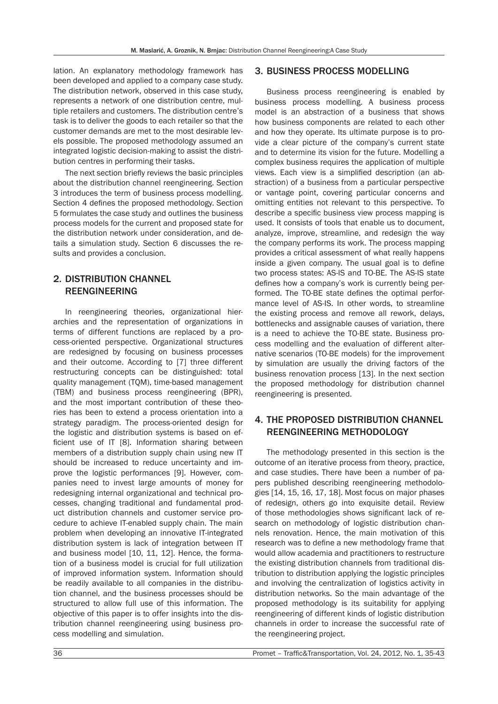lation. An explanatory methodology framework has been developed and applied to a company case study. The distribution network, observed in this case study, represents a network of one distribution centre, multiple retailers and customers. The distribution centre's task is to deliver the goods to each retailer so that the customer demands are met to the most desirable levels possible. The proposed methodology assumed an integrated logistic decision-making to assist the distribution centres in performing their tasks.

The next section briefly reviews the basic principles about the distribution channel reengineering. Section 3 introduces the term of business process modelling. Section 4 defines the proposed methodology. Section 5 formulates the case study and outlines the business process models for the current and proposed state for the distribution network under consideration, and details a simulation study. Section 6 discusses the results and provides a conclusion.

## 2. DISTRIBUTION CHANNEL REENGINEERING

In reengineering theories, organizational hierarchies and the representation of organizations in terms of different functions are replaced by a process-oriented perspective. Organizational structures are redesigned by focusing on business processes and their outcome. According to [7] three different restructuring concepts can be distinguished: total quality management (TQM), time-based management (TBM) and business process reengineering (BPR), and the most important contribution of these theories has been to extend a process orientation into a strategy paradigm. The process-oriented design for the logistic and distribution systems is based on efficient use of IT [8]. Information sharing between members of a distribution supply chain using new IT should be increased to reduce uncertainty and improve the logistic performances [9]. However, companies need to invest large amounts of money for redesigning internal organizational and technical processes, changing traditional and fundamental product distribution channels and customer service procedure to achieve IT-enabled supply chain. The main problem when developing an innovative IT-integrated distribution system is lack of integration between IT and business model [10, 11, 12]. Hence, the formation of a business model is crucial for full utilization of improved information system. Information should be readily available to all companies in the distribution channel, and the business processes should be structured to allow full use of this information. The objective of this paper is to offer insights into the distribution channel reengineering using business process modelling and simulation.

## 3. BUSINESS PROCESS MODELLING

Business process reengineering is enabled by business process modelling. A business process model is an abstraction of a business that shows how business components are related to each other and how they operate. Its ultimate purpose is to provide a clear picture of the company's current state and to determine its vision for the future. Modelling a complex business requires the application of multiple views. Each view is a simplified description (an abstraction) of a business from a particular perspective or vantage point, covering particular concerns and omitting entities not relevant to this perspective. To describe a specific business view process mapping is used. It consists of tools that enable us to document, analyze, improve, streamline, and redesign the way the company performs its work. The process mapping provides a critical assessment of what really happens inside a given company. The usual goal is to define two process states: AS-IS and TO-BE. The AS-IS state defines how a company's work is currently being performed. The TO-BE state defines the optimal performance level of AS-IS. In other words, to streamline the existing process and remove all rework, delays, bottlenecks and assignable causes of variation, there is a need to achieve the TO-BE state. Business process modelling and the evaluation of different alternative scenarios (TO-BE models) for the improvement by simulation are usually the driving factors of the business renovation process [13]. In the next section the proposed methodology for distribution channel reengineering is presented.

## 4. THE PROPOSED DISTRIBUTION CHANNEL REENGINEERING METHODOLOGY

The methodology presented in this section is the outcome of an iterative process from theory, practice, and case studies. There have been a number of papers published describing reengineering methodologies [14, 15, 16, 17, 18]. Most focus on major phases of redesign, others go into exquisite detail. Review of those methodologies shows significant lack of research on methodology of logistic distribution channels renovation. Hence, the main motivation of this research was to define a new methodology frame that would allow academia and practitioners to restructure the existing distribution channels from traditional distribution to distribution applying the logistic principles and involving the centralization of logistics activity in distribution networks. So the main advantage of the proposed methodology is its suitability for applying reengineering of different kinds of logistic distribution channels in order to increase the successful rate of the reengineering project.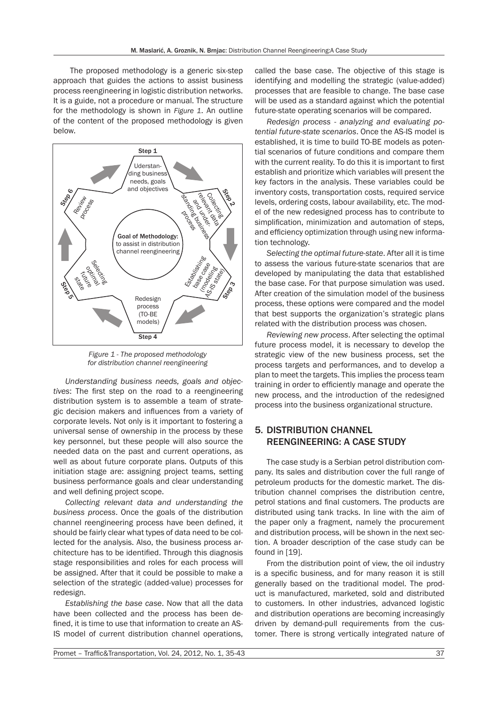The proposed methodology is a generic six-step approach that guides the actions to assist business process reengineering in logistic distribution networks. It is a guide, not a procedure or manual. The structure for the methodology is shown in *Figure 1*. An outline of the content of the proposed methodology is given below.



*Figure 1 - The proposed methodology for distribution channel reengineering*

*Understanding business needs, goals and objectives*: The first step on the road to a reengineering distribution system is to assemble a team of strategic decision makers and influences from a variety of corporate levels. Not only is it important to fostering a universal sense of ownership in the process by these key personnel, but these people will also source the needed data on the past and current operations, as well as about future corporate plans. Outputs of this initiation stage are: assigning project teams, setting business performance goals and clear understanding and well defining project scope.

*Collecting relevant data and understanding the business process*. Once the goals of the distribution channel reengineering process have been defined, it should be fairly clear what types of data need to be collected for the analysis. Also, the business process architecture has to be identified. Through this diagnosis stage responsibilities and roles for each process will be assigned. After that it could be possible to make a selection of the strategic (added-value) processes for redesign.

*Establishing the base case*. Now that all the data have been collected and the process has been defined, it is time to use that information to create an AS-IS model of current distribution channel operations,

called the base case. The objective of this stage is identifying and modelling the strategic (value-added) processes that are feasible to change. The base case will be used as a standard against which the potential future-state operating scenarios will be compared.

*Redesign process - analyzing and evaluating potential future-state scenarios*. Once the AS-IS model is established, it is time to build TO-BE models as potential scenarios of future conditions and compare them with the current reality. To do this it is important to first establish and prioritize which variables will present the key factors in the analysis. These variables could be inventory costs, transportation costs, required service levels, ordering costs, labour availability, etc. The model of the new redesigned process has to contribute to simplification, minimization and automation of steps, and efficiency optimization through using new information technology.

*Selecting the optimal future-state*. After all it is time to assess the various future-state scenarios that are developed by manipulating the data that established the base case. For that purpose simulation was used. After creation of the simulation model of the business process, these options were compared and the model that best supports the organization's strategic plans related with the distribution process was chosen.

*Reviewing new process*. After selecting the optimal future process model, it is necessary to develop the strategic view of the new business process, set the process targets and performances, and to develop a plan to meet the targets. This implies the process team training in order to efficiently manage and operate the new process, and the introduction of the redesigned process into the business organizational structure.

## 5. DISTRIBUTION CHANNEL REENGINEERING: A CASE STUDY

The case study is a Serbian petrol distribution company. Its sales and distribution cover the full range of petroleum products for the domestic market. The distribution channel comprises the distribution centre, petrol stations and final customers. The products are distributed using tank tracks. In line with the aim of the paper only a fragment, namely the procurement and distribution process, will be shown in the next section. A broader description of the case study can be found in [19].

From the distribution point of view, the oil industry is a specific business, and for many reason it is still generally based on the traditional model. The product is manufactured, marketed, sold and distributed to customers. In other industries, advanced logistic and distribution operations are becoming increasingly driven by demand-pull requirements from the customer. There is strong vertically integrated nature of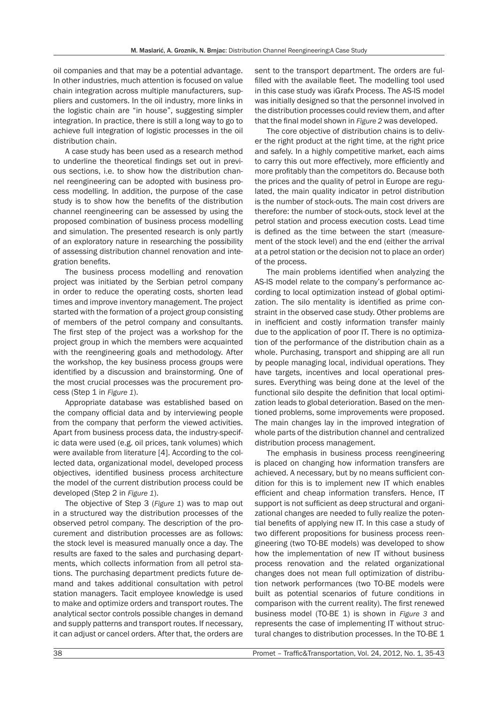oil companies and that may be a potential advantage. In other industries, much attention is focused on value chain integration across multiple manufacturers, suppliers and customers. In the oil industry, more links in the logistic chain are "in house", suggesting simpler integration. In practice, there is still a long way to go to achieve full integration of logistic processes in the oil distribution chain.

A case study has been used as a research method to underline the theoretical findings set out in previous sections, i.e. to show how the distribution channel reengineering can be adopted with business process modelling. In addition, the purpose of the case study is to show how the benefits of the distribution channel reengineering can be assessed by using the proposed combination of business process modelling and simulation. The presented research is only partly of an exploratory nature in researching the possibility of assessing distribution channel renovation and integration benefits.

The business process modelling and renovation project was initiated by the Serbian petrol company in order to reduce the operating costs, shorten lead times and improve inventory management. The project started with the formation of a project group consisting of members of the petrol company and consultants. The first step of the project was a workshop for the project group in which the members were acquainted with the reengineering goals and methodology. After the workshop, the key business process groups were identified by a discussion and brainstorming. One of the most crucial processes was the procurement process (Step 1 in *Figure 1*).

Appropriate database was established based on the company official data and by interviewing people from the company that perform the viewed activities. Apart from business process data, the industry-specific data were used (e.g. oil prices, tank volumes) which were available from literature [4]. According to the collected data, organizational model, developed process objectives, identified business process architecture the model of the current distribution process could be developed (Step 2 in *Figure 1*).

The objective of Step 3 (*Figure 1*) was to map out in a structured way the distribution processes of the observed petrol company. The description of the procurement and distribution processes are as follows: the stock level is measured manually once a day. The results are faxed to the sales and purchasing departments, which collects information from all petrol stations. The purchasing department predicts future demand and takes additional consultation with petrol station managers. Tacit employee knowledge is used to make and optimize orders and transport routes. The analytical sector controls possible changes in demand and supply patterns and transport routes. If necessary, it can adjust or cancel orders. After that, the orders are sent to the transport department. The orders are fulfilled with the available fleet. The modelling tool used in this case study was iGrafx Process. The AS-IS model was initially designed so that the personnel involved in the distribution processes could review them, and after that the final model shown in *Figure 2* was developed.

The core objective of distribution chains is to deliver the right product at the right time, at the right price and safely. In a highly competitive market, each aims to carry this out more effectively, more efficiently and more profitably than the competitors do. Because both the prices and the quality of petrol in Europe are regulated, the main quality indicator in petrol distribution is the number of stock-outs. The main cost drivers are therefore: the number of stock-outs, stock level at the petrol station and process execution costs. Lead time is defined as the time between the start (measurement of the stock level) and the end (either the arrival at a petrol station or the decision not to place an order) of the process.

The main problems identified when analyzing the AS-IS model relate to the company's performance according to local optimization instead of global optimization. The silo mentality is identified as prime constraint in the observed case study. Other problems are in inefficient and costly information transfer mainly due to the application of poor IT. There is no optimization of the performance of the distribution chain as a whole. Purchasing, transport and shipping are all run by people managing local, individual operations. They have targets, incentives and local operational pressures. Everything was being done at the level of the functional silo despite the definition that local optimization leads to global deterioration. Based on the mentioned problems, some improvements were proposed. The main changes lay in the improved integration of whole parts of the distribution channel and centralized distribution process management.

The emphasis in business process reengineering is placed on changing how information transfers are achieved. A necessary, but by no means sufficient condition for this is to implement new IT which enables efficient and cheap information transfers. Hence, IT support is not sufficient as deep structural and organizational changes are needed to fully realize the potential benefits of applying new IT. In this case a study of two different propositions for business process reengineering (two TO-BE models) was developed to show how the implementation of new IT without business process renovation and the related organizational changes does not mean full optimization of distribution network performances (two TO-BE models were built as potential scenarios of future conditions in comparison with the current reality). The first renewed business model (TO-BE 1) is shown in *Figure 3* and represents the case of implementing IT without structural changes to distribution processes. In the TO-BE 1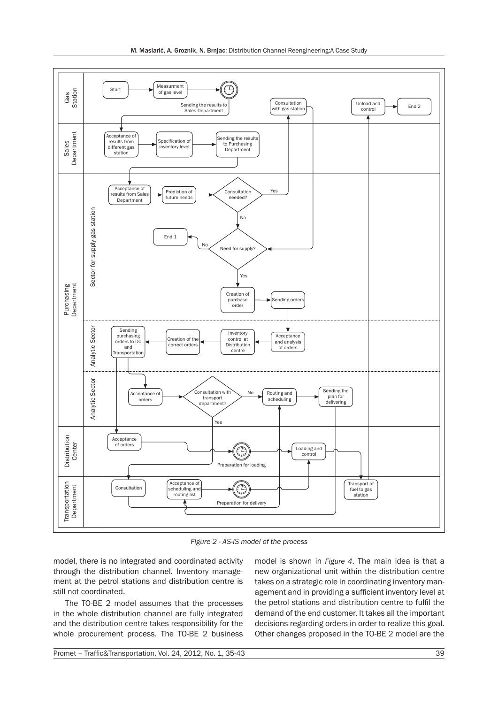

*Figure 2 - AS-IS model of the process*

model, there is no integrated and coordinated activity through the distribution channel. Inventory management at the petrol stations and distribution centre is still not coordinated.

The TO-BE 2 model assumes that the processes in the whole distribution channel are fully integrated and the distribution centre takes responsibility for the whole procurement process. The TO-BE 2 business

model is shown in *Figure 4*. The main idea is that a new organizational unit within the distribution centre takes on a strategic role in coordinating inventory management and in providing a sufficient inventory level at the petrol stations and distribution centre to fulfil the demand of the end customer. It takes all the important decisions regarding orders in order to realize this goal. Other changes proposed in the TO-BE 2 model are the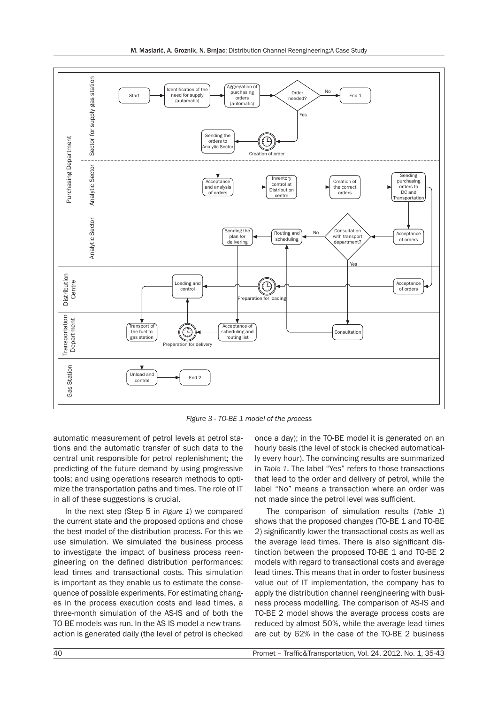

*Figure 3 - TO-BE 1 model of the process*

automatic measurement of petrol levels at petrol stations and the automatic transfer of such data to the central unit responsible for petrol replenishment; the predicting of the future demand by using progressive tools; and using operations research methods to optimize the transportation paths and times. The role of IT in all of these suggestions is crucial.

In the next step (Step 5 in *Figure 1*) we compared the current state and the proposed options and chose the best model of the distribution process. For this we use simulation. We simulated the business process to investigate the impact of business process reengineering on the defined distribution performances: lead times and transactional costs. This simulation is important as they enable us to estimate the consequence of possible experiments. For estimating changes in the process execution costs and lead times, a three-month simulation of the AS-IS and of both the TO-BE models was run. In the AS-IS model a new transaction is generated daily (the level of petrol is checked

once a day); in the TO-BE model it is generated on an hourly basis (the level of stock is checked automatically every hour). The convincing results are summarized in *Table 1*. The label "Yes" refers to those transactions that lead to the order and delivery of petrol, while the label "No" means a transaction where an order was not made since the petrol level was sufficient.

The comparison of simulation results (*Table 1*) shows that the proposed changes (TO-BE 1 and TO-BE 2) significantly lower the transactional costs as well as the average lead times. There is also significant distinction between the proposed TO-BE 1 and TO-BE 2 models with regard to transactional costs and average lead times. This means that in order to foster business value out of IT implementation, the company has to apply the distribution channel reengineering with business process modelling. The comparison of AS-IS and TO-BE 2 model shows the average process costs are reduced by almost 50%, while the average lead times are cut by 62% in the case of the TO-BE 2 business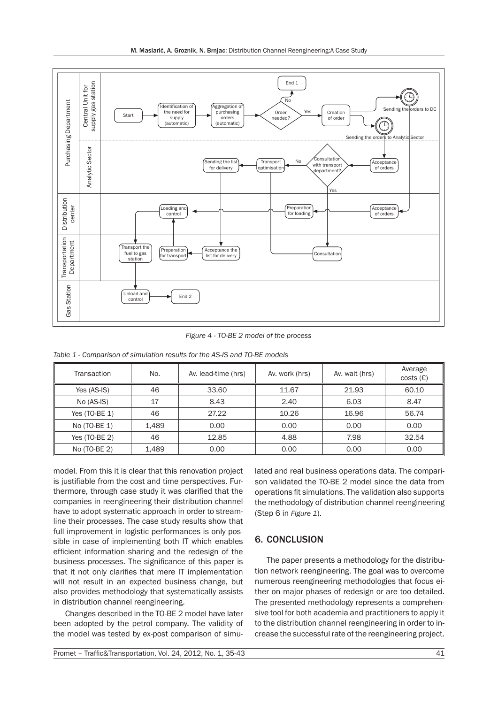

*Figure 4 - TO-BE 2 model of the process*

| Table 1 - Comparison of simulation results for the AS-IS and TO-BE models |  |  |
|---------------------------------------------------------------------------|--|--|
|---------------------------------------------------------------------------|--|--|

| Transaction   | No.   | Av. lead-time (hrs) | Av. work (hrs) | Av. wait (hrs) | Average<br>costs $(\epsilon)$ |
|---------------|-------|---------------------|----------------|----------------|-------------------------------|
| Yes (AS-IS)   | 46    | 33.60               | 11.67          | 21.93          | 60.10                         |
| No (AS-IS)    | 17    | 8.43                | 2.40           | 6.03           | 8.47                          |
| Yes (TO-BE 1) | 46    | 27.22               | 10.26          | 16.96          | 56.74                         |
| No (TO-BE 1)  | 1,489 | 0.00                | 0.00           | 0.00           | 0.00                          |
| Yes (TO-BE 2) | 46    | 12.85               | 4.88           | 7.98           | 32.54                         |
| No (TO-BE 2)  | 1,489 | 0.00                | 0.00           | 0.00           | 0.00                          |

model. From this it is clear that this renovation project is justifiable from the cost and time perspectives. Furthermore, through case study it was clarified that the companies in reengineering their distribution channel have to adopt systematic approach in order to streamline their processes. The case study results show that full improvement in logistic performances is only possible in case of implementing both IT which enables efficient information sharing and the redesign of the business processes. The significance of this paper is that it not only clarifies that mere IT implementation will not result in an expected business change, but also provides methodology that systematically assists in distribution channel reengineering.

Changes described in the TO-BE 2 model have later been adopted by the petrol company. The validity of the model was tested by ex-post comparison of simu-

lated and real business operations data. The comparison validated the TO-BE 2 model since the data from operations fit simulations. The validation also supports the methodology of distribution channel reengineering (Step 6 in *Figure 1*).

## 6. CONCLUSION

The paper presents a methodology for the distribution network reengineering. The goal was to overcome numerous reengineering methodologies that focus either on major phases of redesign or are too detailed. The presented methodology represents a comprehensive tool for both academia and practitioners to apply it to the distribution channel reengineering in order to increase the successful rate of the reengineering project.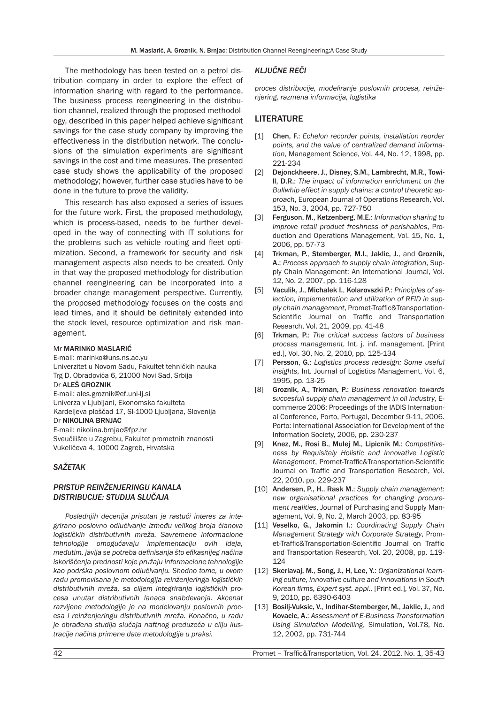The methodology has been tested on a petrol distribution company in order to explore the effect of information sharing with regard to the performance. The business process reengineering in the distribution channel, realized through the proposed methodology, described in this paper helped achieve significant savings for the case study company by improving the effectiveness in the distribution network. The conclusions of the simulation experiments are significant savings in the cost and time measures. The presented case study shows the applicability of the proposed methodology; however, further case studies have to be done in the future to prove the validity.

This research has also exposed a series of issues for the future work. First, the proposed methodology, which is process-based, needs to be further developed in the way of connecting with IT solutions for the problems such as vehicle routing and fleet optimization. Second, a framework for security and risk management aspects also needs to be created. Only in that way the proposed methodology for distribution channel reengineering can be incorporated into a broader change management perspective. Currently, the proposed methodology focuses on the costs and lead times, and it should be definitely extended into the stock level, resource optimization and risk management.

#### Mr MARINKO MASLARIĆ

E-mail: marinko@uns.ns.ac.yu Univerzitet u Novom Sadu, Fakultet tehničkih nauka Trg D. Obradovića 6, 21000 Novi Sad, Srbija Dr ALEŠ GROZNIK E-mail: ales.groznik@ef.uni-lj.si Univerza v Ljubljani, Ekonomska fakulteta Kardeljeva ploščad 17, SI-1000 Ljubljana, Slovenija Dr NIKOLINA BRNJAC E-mail: nikolina.brnjac@fpz.hr Sveučilište u Zagrebu, Fakultet prometnih znanosti Vukelićeva 4, 10000 Zagreb, Hrvatska

#### *SAŽETAK*

### *PRISTUP REINŽENJERINGU KANALA DISTRIBUCIJE: STUDIJA SLUČAJA*

*Poslednjih decenija prisutan je rastući interes za integrirano poslovno odlučivanje između velikog broja članova logističkih distributivnih mreža. Savremene informacione tehnologije omogućavaju implementaciju ovih ideja, međutim, javlja se potreba definisanja što efikasnijeg načina iskorišćenja prednosti koje pružaju informacione tehnologije kao podrška poslovnom odlučivanju. Shodno tome, u ovom radu promovisana je metodologija reinženjeringa logističkih distributivnih mreža, sa ciljem integriranja logističkih procesa unutar distributivnih lanaca snabdevanja. Akcenat razvijene metodologije je na modelovanju poslovnih procesa i reinženjeringu distributivnih mreža. Konačno, u radu je obrađena studija slučaja naftnog preduzeća u cilju ilustracije načina primene date metodologije u praksi.*

#### *KLJUČNE REČI*

*proces distribucije, modeliranje poslovnih procesa, reinženjering, razmena informacija, logistika*

#### LITERATURE

- [1] **Chen, F.:** *Echelon recorder points, installation reorder points, and the value of centralized demand information*, Management Science, Vol. 44, No. 12, 1998, pp. 221-234
- [2] Dejonckheere, J., Disney, S.M., Lambrecht, M.R., Towill, D.R.: *The impact of information enrichment on the Bullwhip effect in supply chains: a control theoretic approach*, European Journal of Operations Research, Vol. 153, No. 3, 2004, pp. 727-750
- [3] Ferguson, M., Ketzenberg, M.E.: *Information sharing to improve retail product freshness of perishables*, Production and Operations Management, Vol. 15, No. 1, 2006, pp. 57-73
- [4] Trkman, P., Stemberger, M.I., Jaklic, J., and Groznik, A.: *Process approach to supply chain integration*, Supply Chain Management: An International Journal, Vol. 12, No. 2, 2007, pp. 116-128
- [5] Vaculik, J., Michalek I., Kolarovszki P.: *Principles of selection, implementation and utilization of RFID in supply chain management*, Promet-Traffic&Transportation-Scientific Journal on Traffic and Transportation Research, Vol. 21, 2009, pp. 41-48
- [6] Trkman, P.: *The critical success factors of business process management*, Int. j. inf. management. [Print ed.], Vol. 30, No. 2, 2010, pp. 125-134
- [7] Persson, G.: *Logistics process redesign: Some useful insights*, Int. Journal of Logistics Management, Vol. 6, 1995, pp. 13-25
- [8] Groznik, A., Trkman, P.: *Business renovation towards succesfull supply chain management in oil industry*, Ecommerce 2006: Proceedings of the IADIS International Conference, Porto, Portugal, December 9-11, 2006. Porto: International Association for Development of the Information Society, 2006, pp. 230-237
- [9] Knez, M., Rosi B., Mulej M., Lipicnik M.: *Competitiveness by Requisitely Holistic and Innovative Logistic Management*, Promet-Traffic&Transportation-Scientific Journal on Traffic and Transportation Research, Vol. 22, 2010, pp. 229-237
- [10] Andersen, P., H., Rask M.: *Supply chain management: new organisational practices for changing procurement realities*, Journal of Purchasing and Supply Management, Vol. 9, No. 2, March 2003, pp. 83-95
- [11] Veselko, G., Jakomin I.: *Coordinating Supply Chain Management Strategy with Corporate Strategy*, Promet-Traffic&Transportation-Scientific Journal on Traffic and Transportation Research, Vol. 20, 2008, pp. 119- 124
- [12] Skerlavaj, M., Song, J., H, Lee, Y.: *Organizational learning culture, innovative culture and innovations in South Korean firms, Expert syst. appl..* [Print ed.], Vol. 37, No. 9, 2010, pp. 6390-6403
- [13] Bosilj-Vuksic, V., Indihar-Stemberger, M., Jaklic, J., and Kovacic, A.: *Assessment of E-Business Transformation Using Simulation Modelling*, Simulation, Vol.78, No. 12, 2002, pp. 731-744